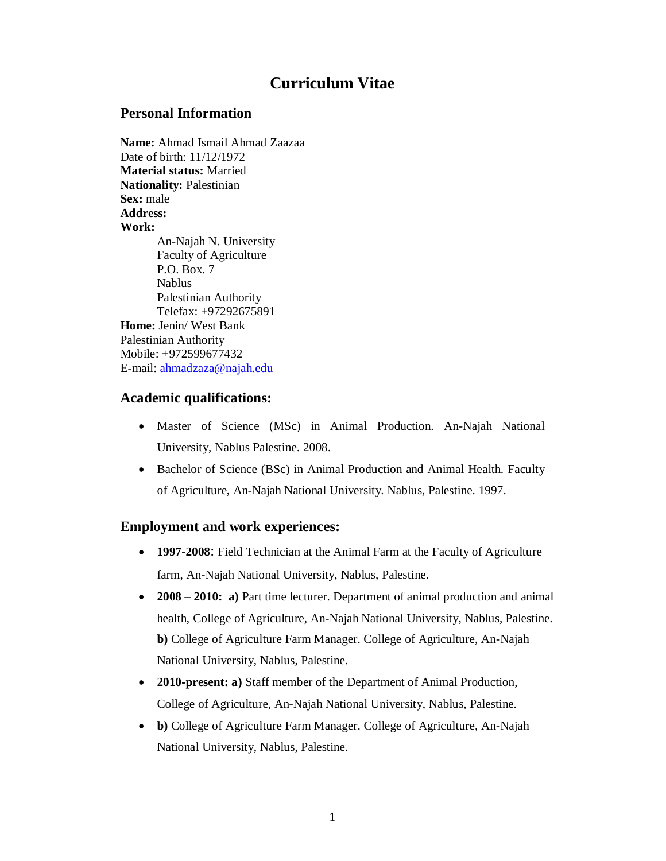# **Curriculum Vitae**

#### **Personal Information**

**Name:** Ahmad Ismail Ahmad Zaazaa Date of birth: 11/12/1972 **Material status:** Married **Nationality:** Palestinian **Sex:** male **Address: Work:** An-Najah N. University Faculty of Agriculture P.O. Box. 7 Nablus Palestinian Authority Telefax: +97292675891 **Home:** Jenin/ West Bank Palestinian Authority Mobile: +972599677432 E-mail: ahmadzaza@najah.edu

#### **Academic qualifications:**

- Master of Science (MSc) in Animal Production. An-Najah National University, Nablus Palestine. 2008.
- Bachelor of Science (BSc) in Animal Production and Animal Health. Faculty of Agriculture, An-Najah National University. Nablus, Palestine. 1997.

## **Employment and work experiences:**

- **1997-2008**: Field Technician at the Animal Farm at the Faculty of Agriculture farm, An-Najah National University, Nablus, Palestine.
- **2008 – 2010: a)** Part time lecturer. Department of animal production and animal health, College of Agriculture, An-Najah National University, Nablus, Palestine. **b)** College of Agriculture Farm Manager. College of Agriculture, An-Najah National University, Nablus, Palestine.
- **2010-present: a)** Staff member of the Department of Animal Production, College of Agriculture, An-Najah National University, Nablus, Palestine.
- **b)** College of Agriculture Farm Manager. College of Agriculture, An-Najah National University, Nablus, Palestine.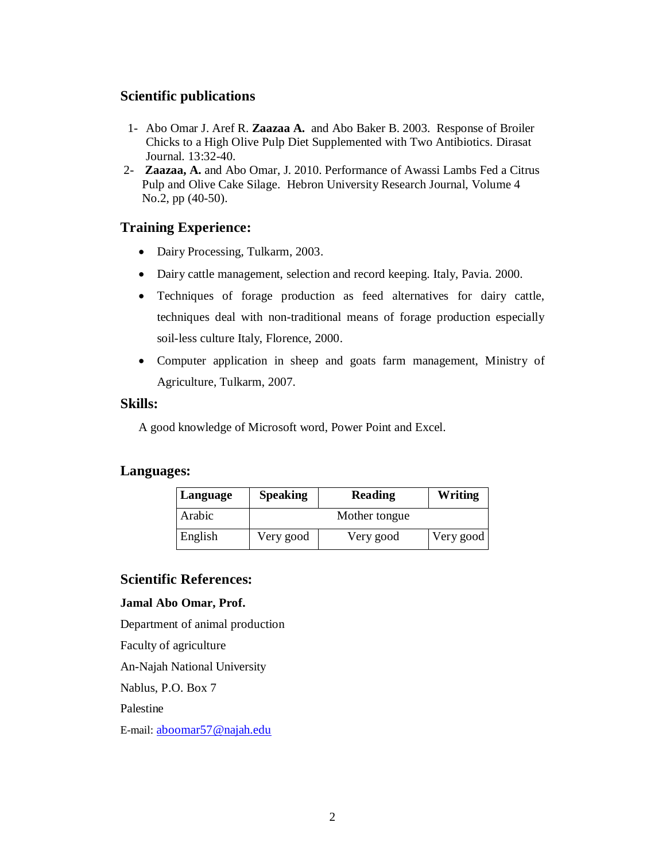### **Scientific publications**

- 1- Abo Omar J. Aref R. **Zaazaa A.** and Abo Baker B. 2003. Response of Broiler Chicks to a High Olive Pulp Diet Supplemented with Two Antibiotics. Dirasat Journal. 13:32-40.
- 2- **Zaazaa, A.** and Abo Omar, J. 2010. Performance of Awassi Lambs Fed a Citrus Pulp and Olive Cake Silage. Hebron University Research Journal, Volume 4 No.2, pp (40-50).

#### **Training Experience:**

- Dairy Processing, Tulkarm, 2003.
- Dairy cattle management, selection and record keeping. Italy, Pavia. 2000.
- Techniques of forage production as feed alternatives for dairy cattle, techniques deal with non-traditional means of forage production especially soil-less culture Italy, Florence, 2000.
- Computer application in sheep and goats farm management, Ministry of Agriculture, Tulkarm, 2007.

#### **Skills:**

A good knowledge of Microsoft word, Power Point and Excel.

## **Languages:**

| Language | <b>Speaking</b> | Reading       | Writing   |
|----------|-----------------|---------------|-----------|
| Arabic   |                 | Mother tongue |           |
| English  | Very good       | Very good     | Very good |

#### **Scientific References:**

#### **Jamal Abo Omar, Prof.**

Department of animal production Faculty of agriculture An-Najah National University Nablus, P.O. Box 7 Palestine E-mail: aboomar57@najah.edu